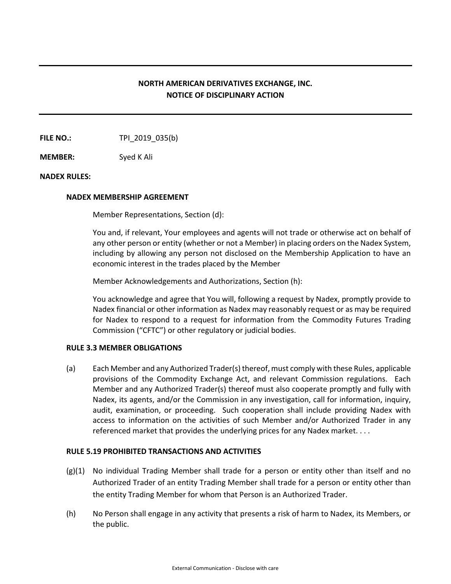# **NORTH AMERICAN DERIVATIVES EXCHANGE, INC. NOTICE OF DISCIPLINARY ACTION**

**FILE NO.:** TPI 2019 035(b)

**MEMBER:** Syed K Ali

## **NADEX RULES:**

## **NADEX MEMBERSHIP AGREEMENT**

Member Representations, Section (d):

You and, if relevant, Your employees and agents will not trade or otherwise act on behalf of any other person or entity (whether or not a Member) in placing orders on the Nadex System, including by allowing any person not disclosed on the Membership Application to have an economic interest in the trades placed by the Member

Member Acknowledgements and Authorizations, Section (h):

You acknowledge and agree that You will, following a request by Nadex, promptly provide to Nadex financial or other information as Nadex may reasonably request or as may be required for Nadex to respond to a request for information from the Commodity Futures Trading Commission ("CFTC") or other regulatory or judicial bodies.

### **RULE 3.3 MEMBER OBLIGATIONS**

(a) Each Member and any Authorized Trader(s) thereof, must comply with these Rules, applicable provisions of the Commodity Exchange Act, and relevant Commission regulations. Each Member and any Authorized Trader(s) thereof must also cooperate promptly and fully with Nadex, its agents, and/or the Commission in any investigation, call for information, inquiry, audit, examination, or proceeding. Such cooperation shall include providing Nadex with access to information on the activities of such Member and/or Authorized Trader in any referenced market that provides the underlying prices for any Nadex market. . . .

### **RULE 5.19 PROHIBITED TRANSACTIONS AND ACTIVITIES**

- (g)(1) No individual Trading Member shall trade for a person or entity other than itself and no Authorized Trader of an entity Trading Member shall trade for a person or entity other than the entity Trading Member for whom that Person is an Authorized Trader.
- (h) No Person shall engage in any activity that presents a risk of harm to Nadex, its Members, or the public.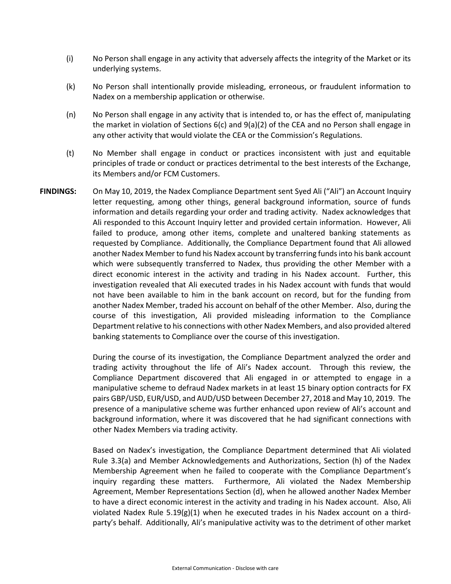- (i) No Person shall engage in any activity that adversely affects the integrity of the Market or its underlying systems.
- (k) No Person shall intentionally provide misleading, erroneous, or fraudulent information to Nadex on a membership application or otherwise.
- (n) No Person shall engage in any activity that is intended to, or has the effect of, manipulating the market in violation of Sections 6(c) and 9(a)(2) of the CEA and no Person shall engage in any other activity that would violate the CEA or the Commission's Regulations.
- (t) No Member shall engage in conduct or practices inconsistent with just and equitable principles of trade or conduct or practices detrimental to the best interests of the Exchange, its Members and/or FCM Customers.
- **FINDINGS:** On May 10, 2019, the Nadex Compliance Department sent Syed Ali ("Ali") an Account Inquiry letter requesting, among other things, general background information, source of funds information and details regarding your order and trading activity. Nadex acknowledges that Ali responded to this Account Inquiry letter and provided certain information. However, Ali failed to produce, among other items, complete and unaltered banking statements as requested by Compliance. Additionally, the Compliance Department found that Ali allowed another Nadex Member to fund his Nadex account by transferring funds into his bank account which were subsequently transferred to Nadex, thus providing the other Member with a direct economic interest in the activity and trading in his Nadex account. Further, this investigation revealed that Ali executed trades in his Nadex account with funds that would not have been available to him in the bank account on record, but for the funding from another Nadex Member, traded his account on behalf of the other Member. Also, during the course of this investigation, Ali provided misleading information to the Compliance Department relative to his connections with other Nadex Members, and also provided altered banking statements to Compliance over the course of this investigation.

During the course of its investigation, the Compliance Department analyzed the order and trading activity throughout the life of Ali's Nadex account. Through this review, the Compliance Department discovered that Ali engaged in or attempted to engage in a manipulative scheme to defraud Nadex markets in at least 15 binary option contracts for FX pairs GBP/USD, EUR/USD, and AUD/USD between December 27, 2018 and May 10, 2019. The presence of a manipulative scheme was further enhanced upon review of Ali's account and background information, where it was discovered that he had significant connections with other Nadex Members via trading activity.

Based on Nadex's investigation, the Compliance Department determined that Ali violated Rule 3.3(a) and Member Acknowledgements and Authorizations, Section (h) of the Nadex Membership Agreement when he failed to cooperate with the Compliance Department's inquiry regarding these matters. Furthermore, Ali violated the Nadex Membership Agreement, Member Representations Section (d), when he allowed another Nadex Member to have a direct economic interest in the activity and trading in his Nadex account. Also, Ali violated Nadex Rule  $5.19(g)(1)$  when he executed trades in his Nadex account on a thirdparty's behalf. Additionally, Ali's manipulative activity was to the detriment of other market